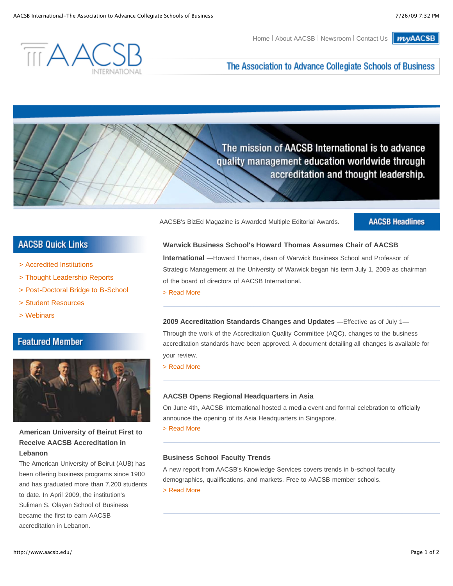**MyAACSB** Home | About AACSB | Newsroom | Contact Us



The Association to Advance Collegiate Schools of Business

The mission of AACSB International is to advance quality management education worldwide through accreditation and thought leadership.

AACSB's BizEd Magazine is Awarded Multiple Editorial Awards.

**AACSB Headlines** 

# **AACSB Quick Links**

- > Accredited Institutions
- > Thought Leadership Reports
- > Post-Doctoral Bridge to B-School
- > Student Resources
- > Webinars

## **Featured Member**



## **American University of Beirut First to Receive AACSB Accreditation in Lebanon**

The American University of Beirut (AUB) has been offering business programs since 1900 and has graduated more than 7,200 students to date. In April 2009, the institution's Suliman S. Olayan School of Business became the first to earn AACSB accreditation in Lebanon.

**Warwick Business School's Howard Thomas Assumes Chair of AACSB**

**International** —Howard Thomas, dean of Warwick Business School and Professor of Strategic Management at the University of Warwick began his term July 1, 2009 as chairman of the board of directors of AACSB International.

> Read More

**2009 Accreditation Standards Changes and Updates** —Effective as of July 1— Through the work of the Accreditation Quality Committee (AQC), changes to the business accreditation standards have been approved. A document detailing all changes is available for your review.

> Read More

#### **AACSB Opens Regional Headquarters in Asia**

On June 4th, AACSB International hosted a media event and formal celebration to officially announce the opening of its Asia Headquarters in Singapore.

> Read More

#### **Business School Faculty Trends**

A new report from AACSB's Knowledge Services covers trends in b-school faculty demographics, qualifications, and markets. Free to AACSB member schools. > Read More